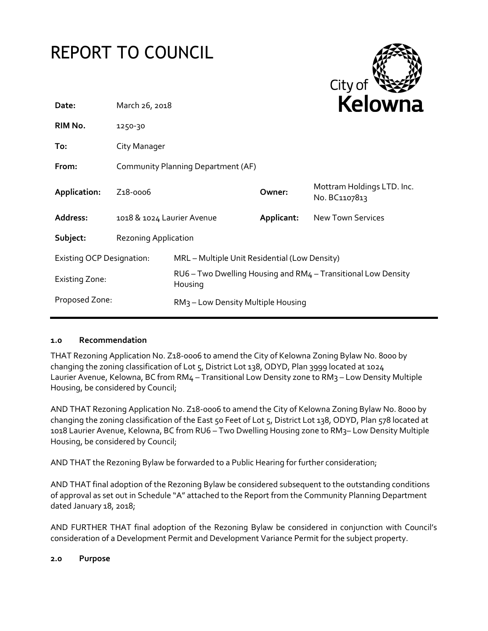# REPORT TO COUNCIL



| Date:                            | March 26, 2018                     |                                                | <b>Relowna</b> |                                                               |
|----------------------------------|------------------------------------|------------------------------------------------|----------------|---------------------------------------------------------------|
| RIM No.                          | 1250-30                            |                                                |                |                                                               |
| To:                              | City Manager                       |                                                |                |                                                               |
| From:                            | Community Planning Department (AF) |                                                |                |                                                               |
| Application:                     | $Z_18 - 0006$                      |                                                | Owner:         | Mottram Holdings LTD. Inc.<br>No. BC1107813                   |
| Address:                         | 1018 & 1024 Laurier Avenue         |                                                | Applicant:     | <b>New Town Services</b>                                      |
| Subject:                         | <b>Rezoning Application</b>        |                                                |                |                                                               |
| <b>Existing OCP Designation:</b> |                                    | MRL - Multiple Unit Residential (Low Density)  |                |                                                               |
| <b>Existing Zone:</b>            |                                    | Housing                                        |                | RU6 - Two Dwelling Housing and RM4 - Transitional Low Density |
| Proposed Zone:                   |                                    | RM <sub>3</sub> – Low Density Multiple Housing |                |                                                               |

# **1.0 Recommendation**

THAT Rezoning Application No. Z18-0006 to amend the City of Kelowna Zoning Bylaw No. 8000 by changing the zoning classification of Lot 5, District Lot 138, ODYD, Plan 3999 located at 1024 Laurier Avenue, Kelowna, BC from RM4 – Transitional Low Density zone to RM3 – Low Density Multiple Housing, be considered by Council;

AND THAT Rezoning Application No. Z18-0006 to amend the City of Kelowna Zoning Bylaw No. 8000 by changing the zoning classification of the East 50 Feet of Lot 5, District Lot 138, ODYD, Plan 578 located at 1018 Laurier Avenue, Kelowna, BC from RU6 – Two Dwelling Housing zone to RM3– Low Density Multiple Housing, be considered by Council;

AND THAT the Rezoning Bylaw be forwarded to a Public Hearing for further consideration;

AND THAT final adoption of the Rezoning Bylaw be considered subsequent to the outstanding conditions of approval as set out in Schedule "A" attached to the Report from the Community Planning Department dated January 18, 2018;

AND FURTHER THAT final adoption of the Rezoning Bylaw be considered in conjunction with Council's consideration of a Development Permit and Development Variance Permit for the subject property.

#### **2.0 Purpose**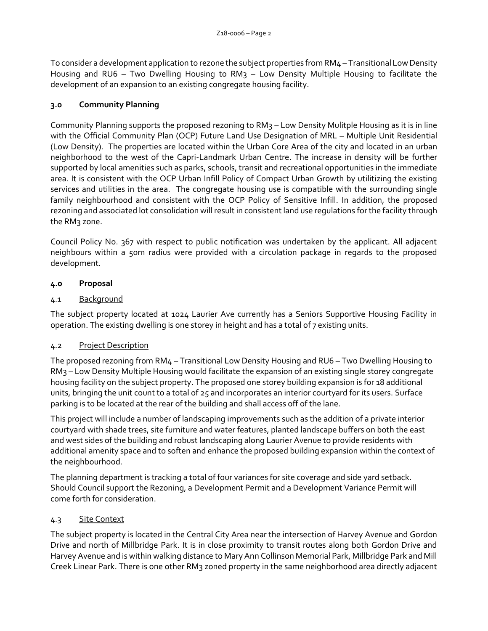To consider a development application to rezone the subject properties from RM4 – Transitional Low Density Housing and RU6 – Two Dwelling Housing to RM3 – Low Density Multiple Housing to facilitate the development of an expansion to an existing congregate housing facility.

# **3.0 Community Planning**

Community Planning supports the proposed rezoning to RM3 – Low Density Mulitple Housing as it is in line with the Official Community Plan (OCP) Future Land Use Designation of MRL – Multiple Unit Residential (Low Density). The properties are located within the Urban Core Area of the city and located in an urban neighborhood to the west of the Capri-Landmark Urban Centre. The increase in density will be further supported by local amenities such as parks, schools, transit and recreational opportunities in the immediate area. It is consistent with the OCP Urban Infill Policy of Compact Urban Growth by utilitizing the existing services and utilities in the area. The congregate housing use is compatible with the surrounding single family neighbourhood and consistent with the OCP Policy of Sensitive Infill. In addition, the proposed rezoning and associated lot consolidation will result in consistent land use regulations for the facility through the RM<sub>3</sub> zone.

Council Policy No. 367 with respect to public notification was undertaken by the applicant. All adjacent neighbours within a 50m radius were provided with a circulation package in regards to the proposed development.

# **4.0 Proposal**

# 4.1 Background

The subject property located at 1024 Laurier Ave currently has a Seniors Supportive Housing Facility in operation. The existing dwelling is one storey in height and has a total of 7 existing units.

# 4.2 Project Description

The proposed rezoning from RM4 – Transitional Low Density Housing and RU6 – Two Dwelling Housing to RM3 – Low Density Multiple Housing would facilitate the expansion of an existing single storey congregate housing facility on the subject property. The proposed one storey building expansion is for 18 additional units, bringing the unit count to a total of 25 and incorporates an interior courtyard for its users. Surface parking is to be located at the rear of the building and shall access off of the lane.

This project will include a number of landscaping improvements such as the addition of a private interior courtyard with shade trees, site furniture and water features, planted landscape buffers on both the east and west sides of the building and robust landscaping along Laurier Avenue to provide residents with additional amenity space and to soften and enhance the proposed building expansion within the context of the neighbourhood.

The planning department is tracking a total of four variances for site coverage and side yard setback. Should Council support the Rezoning, a Development Permit and a Development Variance Permit will come forth for consideration.

# 4.3 Site Context

The subject property is located in the Central City Area near the intersection of Harvey Avenue and Gordon Drive and north of Millbridge Park. It is in close proximity to transit routes along both Gordon Drive and Harvey Avenue and is within walking distance to Mary Ann Collinson Memorial Park, Millbridge Park and Mill Creek Linear Park. There is one other RM3 zoned property in the same neighborhood area directly adjacent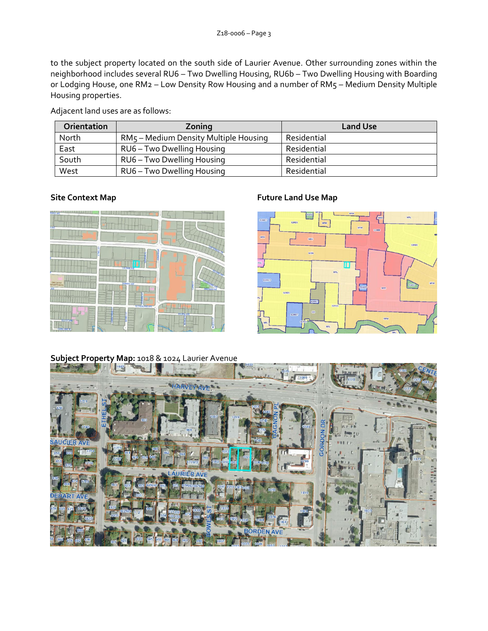to the subject property located on the south side of Laurier Avenue. Other surrounding zones within the neighborhood includes several RU6 – Two Dwelling Housing, RU6b – Two Dwelling Housing with Boarding or Lodging House, one RM2 – Low Density Row Housing and a number of RM5 – Medium Density Multiple Housing properties.

Adjacent land uses are as follows:

| Orientation | Zoning                                | <b>Land Use</b> |
|-------------|---------------------------------------|-----------------|
| North       | RM5 – Medium Density Multiple Housing | Residential     |
| East        | RU6 - Two Dwelling Housing            | Residential     |
| South       | RU6 - Two Dwelling Housing            | Residential     |
| West        | RU6 - Two Dwelling Housing            | Residential     |



# **Site Context Map Future Land Use Map**



# **Subject Property Map:** 1018 & 1024 Laurier Avenue

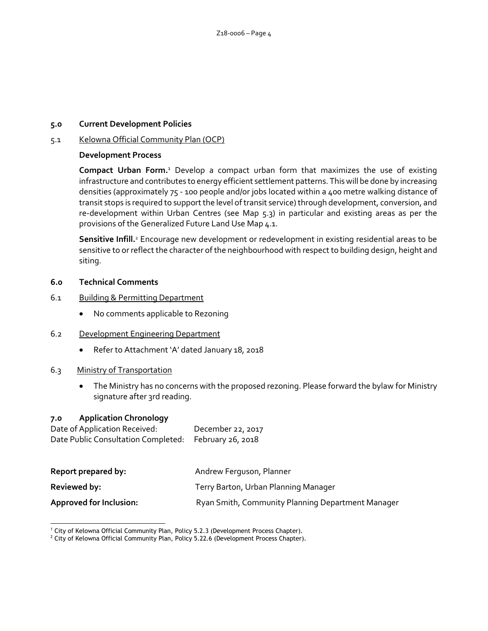#### **5.0 Current Development Policies**

#### 5.1 Kelowna Official Community Plan (OCP)

#### **Development Process**

**Compact Urban Form.**<sup>1</sup> Develop a compact urban form that maximizes the use of existing infrastructure and contributes to energy efficient settlement patterns. This will be done by increasing densities (approximately 75 - 100 people and/or jobs located within a 400 metre walking distance of transit stops is required to support the level of transit service) through development, conversion, and re-development within Urban Centres (see Map 5.3) in particular and existing areas as per the provisions of the Generalized Future Land Use Map 4.1.

**Sensitive Infill.**<sup>2</sup> Encourage new development or redevelopment in existing residential areas to be sensitive to or reflect the character of the neighbourhood with respect to building design, height and siting.

#### **6.0 Technical Comments**

- 6.1 Building & Permitting Department
	- No comments applicable to Rezoning
- 6.2 Development Engineering Department
	- Refer to Attachment 'A' dated January 18, 2018

#### 6.3 Ministry of Transportation

 The Ministry has no concerns with the proposed rezoning. Please forward the bylaw for Ministry signature after 3rd reading.

#### **7.0 Application Chronology**

| Date of Application Received:                         | December 22, 2017 |
|-------------------------------------------------------|-------------------|
| Date Public Consultation Completed: February 26, 2018 |                   |

| Report prepared by:            | Andrew Ferguson, Planner                          |  |
|--------------------------------|---------------------------------------------------|--|
| Reviewed by:                   | Terry Barton, Urban Planning Manager              |  |
| <b>Approved for Inclusion:</b> | Ryan Smith, Community Planning Department Manager |  |

<sup>-</sup><sup>1</sup> City of Kelowna Official Community Plan, Policy 5.2.3 (Development Process Chapter).

<sup>&</sup>lt;sup>2</sup> City of Kelowna Official Community Plan, Policy 5.22.6 (Development Process Chapter).